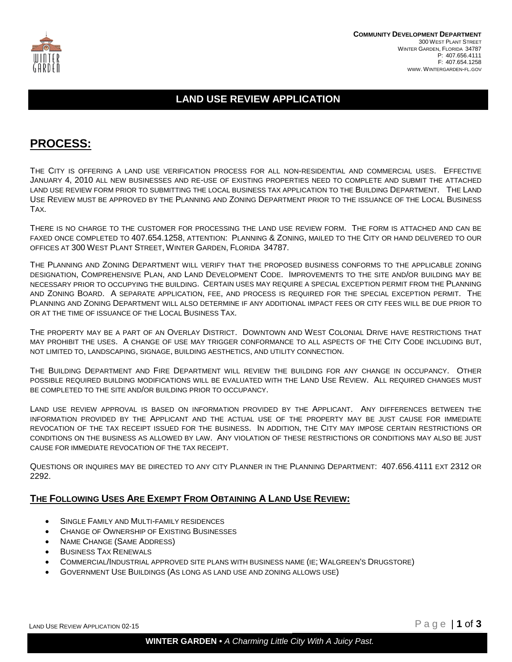

### **LAND USE REVIEW APPLICATION**

## **PROCESS:**

THE CITY IS OFFERING A LAND USE VERIFICATION PROCESS FOR ALL NON-RESIDENTIAL AND COMMERCIAL USES. EFFECTIVE JANUARY 4, 2010 ALL NEW BUSINESSES AND RE-USE OF EXISTING PROPERTIES NEED TO COMPLETE AND SUBMIT THE ATTACHED LAND USE REVIEW FORM PRIOR TO SUBMITTING THE LOCAL BUSINESS TAX APPLICATION TO THE BUILDING DEPARTMENT. THE LAND USE REVIEW MUST BE APPROVED BY THE PLANNING AND ZONING DEPARTMENT PRIOR TO THE ISSUANCE OF THE LOCAL BUSINESS TAX.

THERE IS NO CHARGE TO THE CUSTOMER FOR PROCESSING THE LAND USE REVIEW FORM. THE FORM IS ATTACHED AND CAN BE FAXED ONCE COMPLETED TO 407.654.1258, ATTENTION: PLANNING & ZONING, MAILED TO THE CITY OR HAND DELIVERED TO OUR OFFICES AT 300 WEST PLANT STREET, WINTER GARDEN, FLORIDA 34787.

THE PLANNING AND ZONING DEPARTMENT WILL VERIFY THAT THE PROPOSED BUSINESS CONFORMS TO THE APPLICABLE ZONING DESIGNATION, COMPREHENSIVE PLAN, AND LAND DEVELOPMENT CODE. IMPROVEMENTS TO THE SITE AND/OR BUILDING MAY BE NECESSARY PRIOR TO OCCUPYING THE BUILDING. CERTAIN USES MAY REQUIRE A SPECIAL EXCEPTION PERMIT FROM THE PLANNING AND ZONING BOARD. A SEPARATE APPLICATION, FEE, AND PROCESS IS REQUIRED FOR THE SPECIAL EXCEPTION PERMIT. THE PLANNING AND ZONING DEPARTMENT WILL ALSO DETERMINE IF ANY ADDITIONAL IMPACT FEES OR CITY FEES WILL BE DUE PRIOR TO OR AT THE TIME OF ISSUANCE OF THE LOCAL BUSINESS TAX.

THE PROPERTY MAY BE A PART OF AN OVERLAY DISTRICT. DOWNTOWN AND WEST COLONIAL DRIVE HAVE RESTRICTIONS THAT MAY PROHIBIT THE USES. A CHANGE OF USE MAY TRIGGER CONFORMANCE TO ALL ASPECTS OF THE CITY CODE INCLUDING BUT, NOT LIMITED TO, LANDSCAPING, SIGNAGE, BUILDING AESTHETICS, AND UTILITY CONNECTION.

THE BUILDING DEPARTMENT AND FIRE DEPARTMENT WILL REVIEW THE BUILDING FOR ANY CHANGE IN OCCUPANCY. OTHER POSSIBLE REQUIRED BUILDING MODIFICATIONS WILL BE EVALUATED WITH THE LAND USE REVIEW. ALL REQUIRED CHANGES MUST BE COMPLETED TO THE SITE AND/OR BUILDING PRIOR TO OCCUPANCY.

LAND USE REVIEW APPROVAL IS BASED ON INFORMATION PROVIDED BY THE APPLICANT. ANY DIFFERENCES BETWEEN THE INFORMATION PROVIDED BY THE APPLICANT AND THE ACTUAL USE OF THE PROPERTY MAY BE JUST CAUSE FOR IMMEDIATE REVOCATION OF THE TAX RECEIPT ISSUED FOR THE BUSINESS. IN ADDITION, THE CITY MAY IMPOSE CERTAIN RESTRICTIONS OR CONDITIONS ON THE BUSINESS AS ALLOWED BY LAW. ANY VIOLATION OF THESE RESTRICTIONS OR CONDITIONS MAY ALSO BE JUST CAUSE FOR IMMEDIATE REVOCATION OF THE TAX RECEIPT.

QUESTIONS OR INQUIRES MAY BE DIRECTED TO ANY CITY PLANNER IN THE PLANNING DEPARTMENT: 407.656.4111 EXT 2312 OR 2292.

#### **THE FOLLOWING USES ARE EXEMPT FROM OBTAINING A LAND USE REVIEW:**

- SINGLE FAMILY AND MULTI-FAMILY RESIDENCES
- CHANGE OF OWNERSHIP OF EXISTING BUSINESSES
- NAME CHANGE (SAME ADDRESS)
- **BUSINESS TAX RENEWALS**
- COMMERCIAL/INDUSTRIAL APPROVED SITE PLANS WITH BUSINESS NAME (IE; WALGREEN'S DRUGSTORE)
- GOVERNMENT USE BUILDINGS (AS LONG AS LAND USE AND ZONING ALLOWS USE)

LAND USE REVIEW APPLICATION 02-15  $\Box$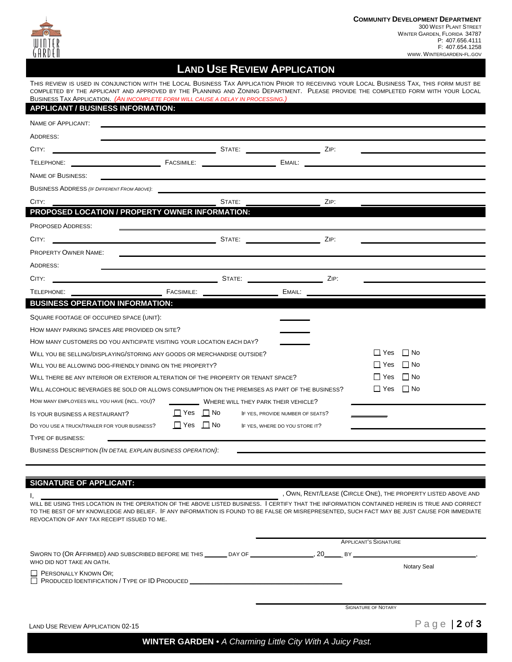

## **LAND USE REVIEW APPLICATION**

THIS REVIEW IS USED IN CONJUNCTION WITH THE LOCAL BUSINESS TAX APPLICATION PRIOR TO RECEIVING YOUR LOCAL BUSINESS TAX, THIS FORM MUST BE COMPLETED BY THE APPLICANT AND APPROVED BY THE PLANNING AND ZONING DEPARTMENT. PLEASE PROVIDE THE COMPLETED FORM WITH YOUR LOCAL BUSINESS TAX APPLICATION. *(AN INCOMPLETE FORM WILL CAUSE A DELAY IN PROCESSING.)* 

| <b>APPLICANT / BUSINESS INFORMATION:</b>                                                        |                                                                                            |                                  |            |                         |
|-------------------------------------------------------------------------------------------------|--------------------------------------------------------------------------------------------|----------------------------------|------------|-------------------------|
| <b>NAME OF APPLICANT:</b>                                                                       |                                                                                            |                                  |            |                         |
| ADDRESS:                                                                                        |                                                                                            |                                  |            |                         |
| CITY:                                                                                           |                                                                                            |                                  | ZIP:       |                         |
| <b>FACSIMILE:</b><br>TELEPHONE:                                                                 |                                                                                            | EMAIL:                           |            |                         |
| <b>NAME OF BUSINESS:</b>                                                                        |                                                                                            |                                  |            |                         |
| <b>BUSINESS ADDRESS (IF DIFFERENT FROM ABOVE):</b>                                              |                                                                                            |                                  |            |                         |
| CITY:                                                                                           | STATE:                                                                                     |                                  | ZIP:       |                         |
| PROPOSED LOCATION / PROPERTY OWNER INFORMATION:                                                 |                                                                                            |                                  |            |                         |
| <b>PROPOSED ADDRESS:</b>                                                                        |                                                                                            |                                  |            |                         |
| CITY:                                                                                           | <b>STATE:</b> STATE: <b>STATE: STATE: STATE: STATE: STATE: STATE: STATE:</b> $\frac{1}{2}$ |                                  | ZIP:       |                         |
| <b>PROPERTY OWNER NAME:</b>                                                                     |                                                                                            |                                  |            |                         |
| ADDRESS:                                                                                        |                                                                                            |                                  |            |                         |
| STATE:<br>CITY:                                                                                 |                                                                                            |                                  | ZIP.       |                         |
| <b>FACSIMILE:</b><br>TELEPHONE:                                                                 | <u> 1980 - Johann Barnett, fransk politiker (</u>                                          | EMAIL:                           |            |                         |
| <b>BUSINESS OPERATION INFORMATION:</b>                                                          |                                                                                            |                                  |            |                         |
| SQUARE FOOTAGE OF OCCUPIED SPACE (UNIT):                                                        |                                                                                            |                                  |            |                         |
| HOW MANY PARKING SPACES ARE PROVIDED ON SITE?                                                   |                                                                                            |                                  |            |                         |
| HOW MANY CUSTOMERS DO YOU ANTICIPATE VISITING YOUR LOCATION EACH DAY?                           |                                                                                            |                                  |            |                         |
| WILL YOU BE SELLING/DISPLAYING/STORING ANY GOODS OR MERCHANDISE OUTSIDE?                        |                                                                                            |                                  |            | $\Box$ No<br>$\Box$ Yes |
| WILL YOU BE ALLOWING DOG-FRIENDLY DINING ON THE PROPERTY?                                       |                                                                                            |                                  | ∐ Yes      | I No                    |
| WILL THERE BE ANY INTERIOR OR EXTERIOR ALTERATION OF THE PROPERTY OR TENANT SPACE?              |                                                                                            |                                  | l I Yes    | $\Box$ No               |
| WILL ALCOHOLIC BEVERAGES BE SOLD OR ALLOWS CONSUMPTION ON THE PREMISES AS PART OF THE BUSINESS? |                                                                                            |                                  | $\Box$ Yes | $\Box$ No               |
| HOW MANY EMPLOYEES WILL YOU HAVE (INCL. YOU)?                                                   | WHERE WILL THEY PARK THEIR VEHICLE?                                                        |                                  |            |                         |
| IS YOUR BUSINESS A RESTAURANT?                                                                  | $\Box$ Yes $\Box$ No                                                                       | IF YES, PROVIDE NUMBER OF SEATS? |            |                         |
| DO YOU USE A TRUCK/TRAILER FOR YOUR BUSINESS?                                                   | $\Box$ Yes $\Box$ No                                                                       | IF YES, WHERE DO YOU STORE IT?   |            |                         |
| TYPE OF BUSINESS:                                                                               |                                                                                            |                                  |            |                         |
| BUSINESS DESCRIPTION (IN DETAIL EXPLAIN BUSINESS OPERATION):                                    |                                                                                            |                                  |            |                         |

#### $\overline{a}$ **SIGNATURE OF APPLICANT:**

 $\overline{a}$ 

, O WN ,R ENT/LEASE (CIRCLE ONE), THE PROPERTY LISTED ABOVE AND I,

WILL BE USING THIS LOCATION IN THE OPERATION OF THE ABOVE LISTED BUSINESS. I CERTIFY THAT THE INFORMATION CONTAINED HEREIN IS TRUE AND CORRECT TO THE BEST OF MY KNOWLEDGE AND BELIEF . IF ANYINFORMATION IS FOUND TO BE FALSE OR MISREPRESENTED, SUCH FACT MAY BE JUST CAUSE FOR IMMEDIATE REVOCATION OF ANY TAX RECEIPT ISSUED TO ME.

|                                                          |  | <b>APPLICANT'S SIGNATURE</b> |                    |  |
|----------------------------------------------------------|--|------------------------------|--------------------|--|
| WHO DID NOT TAKE AN OATH.<br><b>PERSONALLY KNOWN OR:</b> |  |                              | <b>Notary Seal</b> |  |
|                                                          |  | <b>SIGNATURE OF NOTARY</b>   |                    |  |
| <b>LAND USE REVIEW APPLICATION 02-15</b>                 |  |                              | Page   $2$ of $3$  |  |

**WINTER GARDEN •** *A Charming Little City With A Juicy Past.*